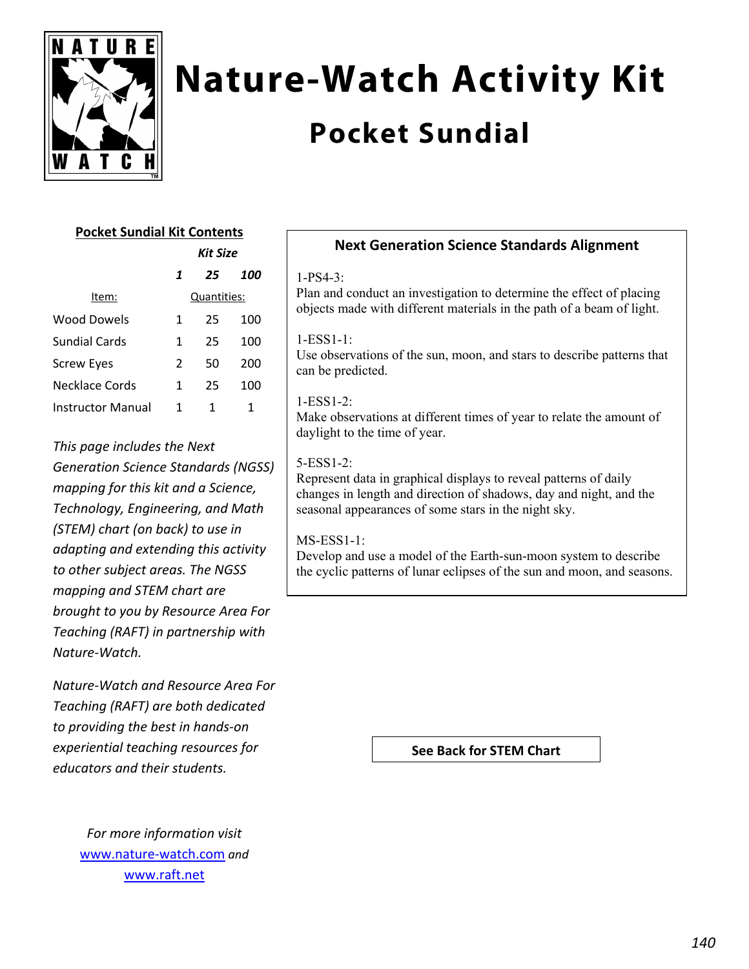

# **Nature-Watch Activity Kit**

# **Pocket Sundial**

## **Pocket Sundial Kit Contents**

|                   | Kit Size |             |     |
|-------------------|----------|-------------|-----|
|                   | 1        | 25          | 100 |
| Item:             |          | Quantities: |     |
| Wood Dowels       | 1        | 25          | 100 |
| Sundial Cards     | 1        | 25          | 100 |
| Screw Eyes        | 2        | 50          | 200 |
| Necklace Cords    | 1        | 25          | 100 |
| Instructor Manual | 1        | 1           | 1   |

*This page includes the Next Generation Science Standards (NGSS) mapping for this kit and a Science, Technology, Engineering, and Math (STEM) chart (on back) to use in adapting and extending this activity to other subject areas. The NGSS mapping and STEM chart are brought to you by Resource Area For Teaching (RAFT) in partnership with Nature‐Watch.* 

*Nature‐Watch and Resource Area For Teaching (RAFT) are both dedicated to providing the best in hands‐on experiential teaching resources for educators and their students.*

> *For more information visit* www.nature‐watch.com *and* www.raft.net

### **Next Generation Science Standards Alignment**

#### 1-PS4-3:

Plan and conduct an investigation to determine the effect of placing objects made with different materials in the path of a beam of light.

#### 1-ESS1-1:

Use observations of the sun, moon, and stars to describe patterns that can be predicted.

#### $1-ESS1-2$

Make observations at different times of year to relate the amount of daylight to the time of year.

#### 5-ESS1-2:

Represent data in graphical displays to reveal patterns of daily changes in length and direction of shadows, day and night, and the seasonal appearances of some stars in the night sky.

#### MS-ESS1-1:

Develop and use a model of the Earth-sun-moon system to describe the cyclic patterns of lunar eclipses of the sun and moon, and seasons.

**See Back for STEM Chart**